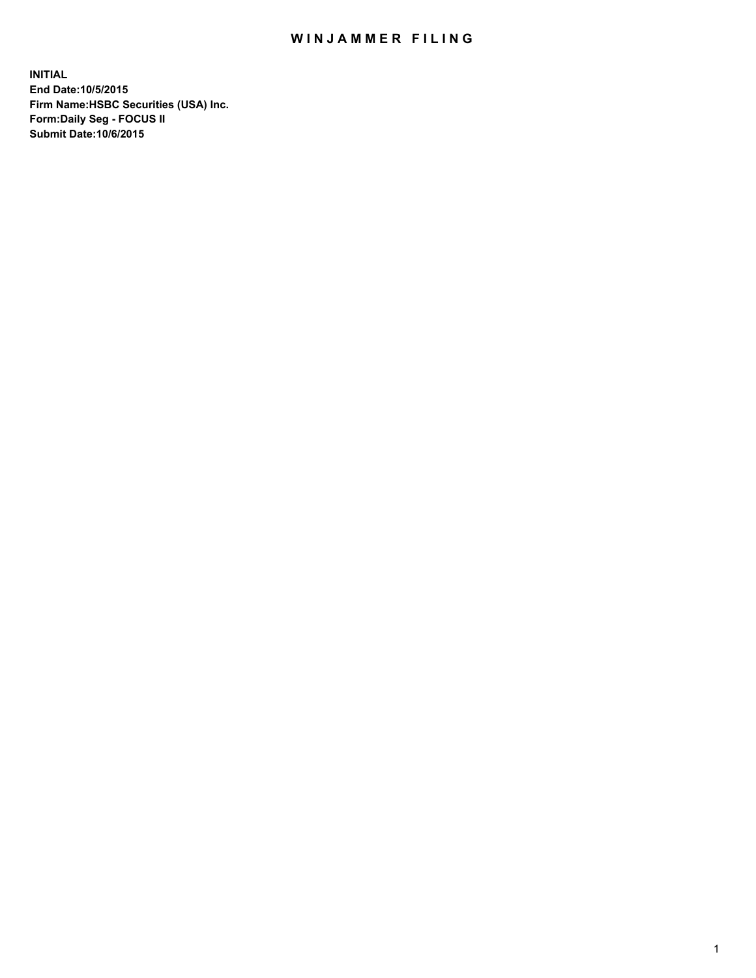## WIN JAMMER FILING

**INITIAL End Date:10/5/2015 Firm Name:HSBC Securities (USA) Inc. Form:Daily Seg - FOCUS II Submit Date:10/6/2015**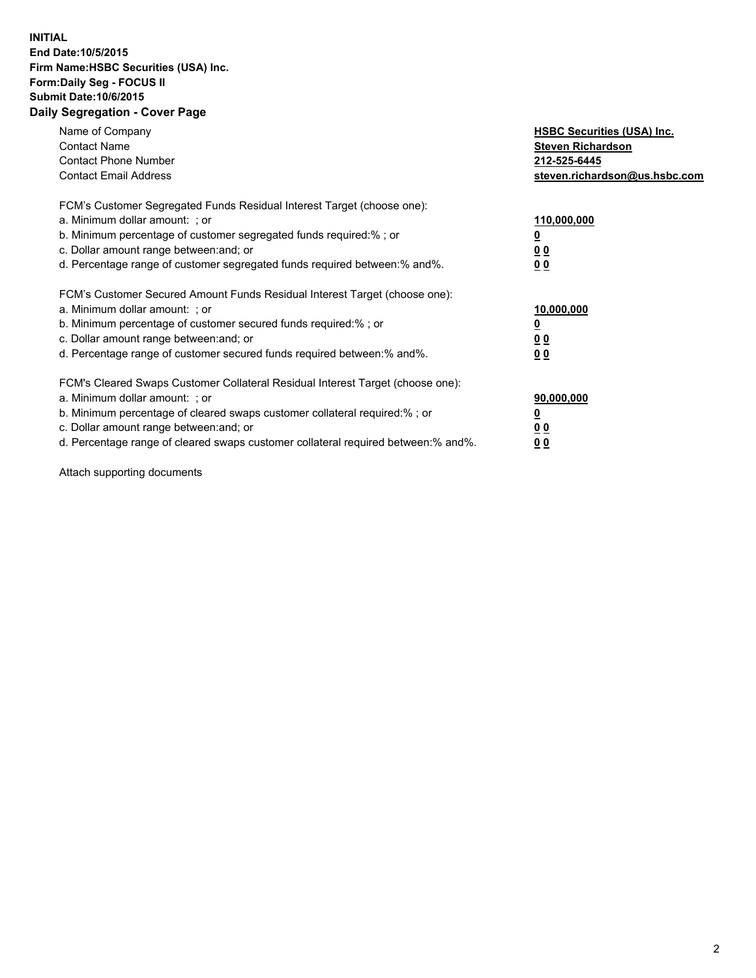## **INITIAL End Date:10/5/2015 Firm Name:HSBC Securities (USA) Inc. Form:Daily Seg - FOCUS II Submit Date:10/6/2015 Daily Segregation - Cover Page**

| Name of Company<br><b>Contact Name</b><br><b>Contact Phone Number</b><br><b>Contact Email Address</b>                                                                                                                                                                                                                         | <b>HSBC Securities (USA) Inc.</b><br><b>Steven Richardson</b><br>212-525-6445<br>steven.richardson@us.hsbc.com |
|-------------------------------------------------------------------------------------------------------------------------------------------------------------------------------------------------------------------------------------------------------------------------------------------------------------------------------|----------------------------------------------------------------------------------------------------------------|
| FCM's Customer Segregated Funds Residual Interest Target (choose one):<br>a. Minimum dollar amount: ; or<br>b. Minimum percentage of customer segregated funds required:%; or<br>c. Dollar amount range between: and; or<br>d. Percentage range of customer segregated funds required between:% and%.                         | 110,000,000<br>0 <sub>0</sub><br>0 <sub>0</sub>                                                                |
| FCM's Customer Secured Amount Funds Residual Interest Target (choose one):<br>a. Minimum dollar amount: ; or<br>b. Minimum percentage of customer secured funds required:%; or<br>c. Dollar amount range between: and; or<br>d. Percentage range of customer secured funds required between:% and%.                           | 10,000,000<br>0 <sub>0</sub><br>00                                                                             |
| FCM's Cleared Swaps Customer Collateral Residual Interest Target (choose one):<br>a. Minimum dollar amount: ; or<br>b. Minimum percentage of cleared swaps customer collateral required:%; or<br>c. Dollar amount range between: and; or<br>d. Percentage range of cleared swaps customer collateral required between:% and%. | 90,000,000<br><u>00</u><br><u>00</u>                                                                           |

Attach supporting documents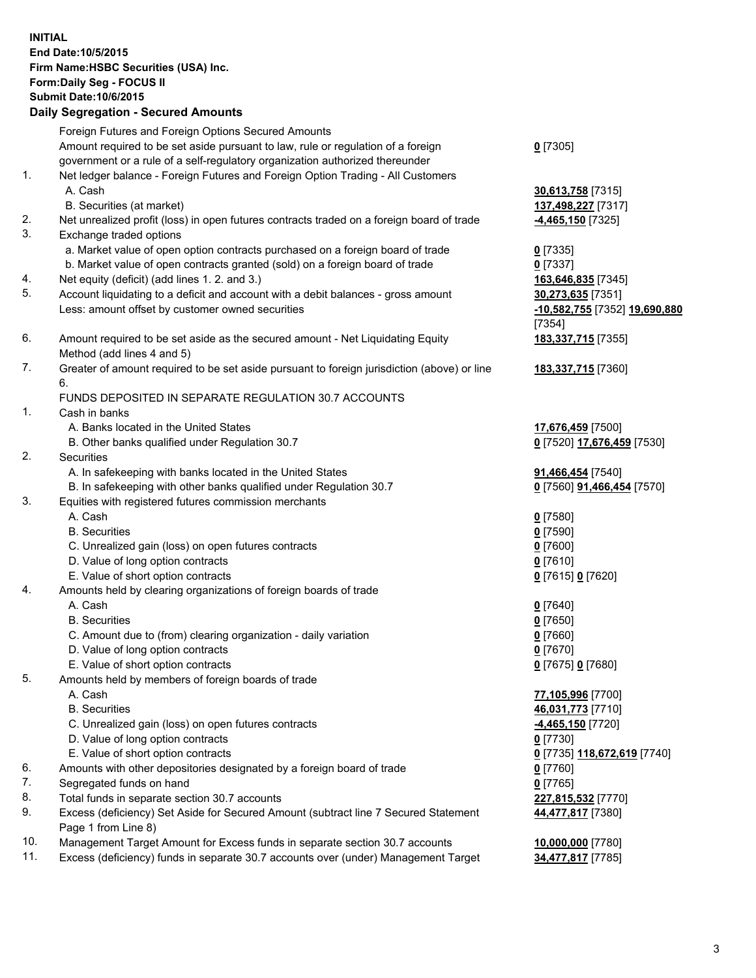**INITIAL End Date:10/5/2015 Firm Name:HSBC Securities (USA) Inc. Form:Daily Seg - FOCUS II Submit Date:10/6/2015 Daily Segregation - Secured Amounts** Foreign Futures and Foreign Options Secured Amounts Amount required to be set aside pursuant to law, rule or regulation of a foreign government or a rule of a self-regulatory organization authorized thereunder **0** [7305] 1. Net ledger balance - Foreign Futures and Foreign Option Trading - All Customers A. Cash **30,613,758** [7315] B. Securities (at market) **137,498,227** [7317] 2. Net unrealized profit (loss) in open futures contracts traded on a foreign board of trade **-4,465,150** [7325] 3. Exchange traded options a. Market value of open option contracts purchased on a foreign board of trade **0** [7335] b. Market value of open contracts granted (sold) on a foreign board of trade **0** [7337] 4. Net equity (deficit) (add lines 1. 2. and 3.) **163,646,835** [7345] 5. Account liquidating to a deficit and account with a debit balances - gross amount **30,273,635** [7351] Less: amount offset by customer owned securities **-10,582,755** [7352] **19,690,880** [7354] 6. Amount required to be set aside as the secured amount - Net Liquidating Equity Method (add lines 4 and 5) **183,337,715** [7355] 7. Greater of amount required to be set aside pursuant to foreign jurisdiction (above) or line 6. **183,337,715** [7360] FUNDS DEPOSITED IN SEPARATE REGULATION 30.7 ACCOUNTS 1. Cash in banks A. Banks located in the United States **17,676,459** [7500] B. Other banks qualified under Regulation 30.7 **0** [7520] **17,676,459** [7530] 2. Securities A. In safekeeping with banks located in the United States **91,466,454** [7540] B. In safekeeping with other banks qualified under Regulation 30.7 **0** [7560] **91,466,454** [7570] 3. Equities with registered futures commission merchants A. Cash **0** [7580] B. Securities **0** [7590] C. Unrealized gain (loss) on open futures contracts **0** [7600] D. Value of long option contracts **0** [7610] E. Value of short option contracts **0** [7615] **0** [7620] 4. Amounts held by clearing organizations of foreign boards of trade A. Cash **0** [7640] B. Securities **0** [7650] C. Amount due to (from) clearing organization - daily variation **0** [7660] D. Value of long option contracts **0** [7670] E. Value of short option contracts **0** [7675] **0** [7680] 5. Amounts held by members of foreign boards of trade A. Cash **77,105,996** [7700] B. Securities **46,031,773** [7710] C. Unrealized gain (loss) on open futures contracts **-4,465,150** [7720] D. Value of long option contracts **0** [7730] E. Value of short option contracts **0** [7735] **118,672,619** [7740] 6. Amounts with other depositories designated by a foreign board of trade **0** [7760] 7. Segregated funds on hand **0** [7765] 8. Total funds in separate section 30.7 accounts **227,815,532** [7770] 9. Excess (deficiency) Set Aside for Secured Amount (subtract line 7 Secured Statement Page 1 from Line 8) **44,477,817** [7380] 10. Management Target Amount for Excess funds in separate section 30.7 accounts **10,000,000** [7780]

11. Excess (deficiency) funds in separate 30.7 accounts over (under) Management Target **34,477,817** [7785]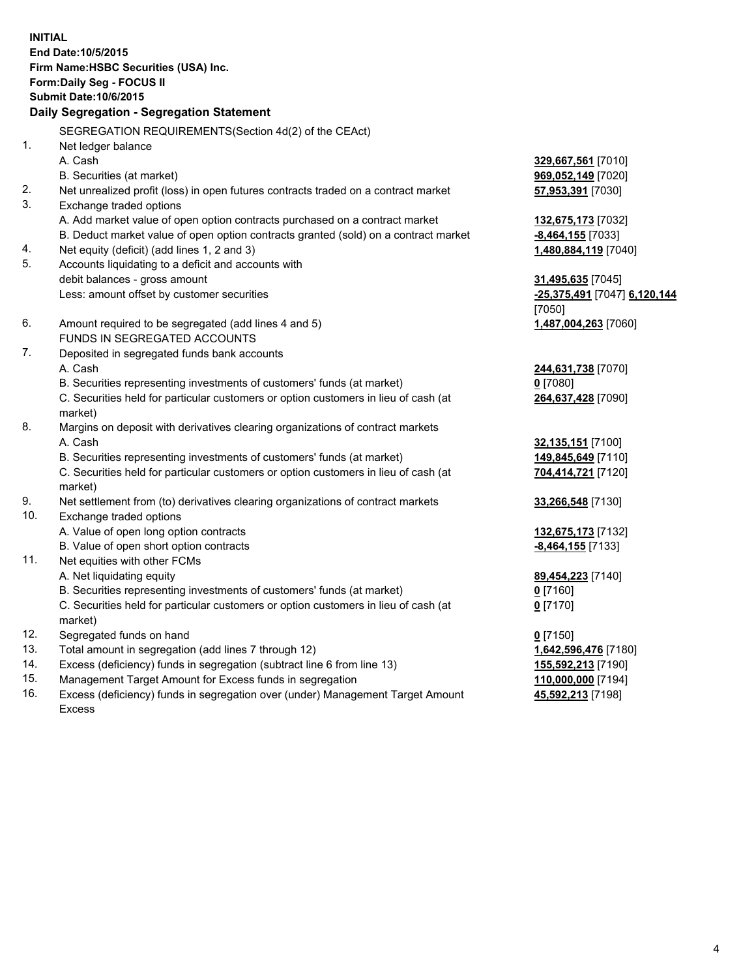**INITIAL End Date:10/5/2015 Firm Name:HSBC Securities (USA) Inc. Form:Daily Seg - FOCUS II Submit Date:10/6/2015 Daily Segregation - Segregation Statement** SEGREGATION REQUIREMENTS(Section 4d(2) of the CEAct) 1. Net ledger balance A. Cash **329,667,561** [7010] B. Securities (at market) **969,052,149** [7020] 2. Net unrealized profit (loss) in open futures contracts traded on a contract market **57,953,391** [7030] 3. Exchange traded options A. Add market value of open option contracts purchased on a contract market **132,675,173** [7032] B. Deduct market value of open option contracts granted (sold) on a contract market **-8,464,155** [7033] 4. Net equity (deficit) (add lines 1, 2 and 3) **1,480,884,119** [7040] 5. Accounts liquidating to a deficit and accounts with debit balances - gross amount **31,495,635** [7045] Less: amount offset by customer securities **-25,375,491** [7047] **6,120,144** [7050] 6. Amount required to be segregated (add lines 4 and 5) **1,487,004,263** [7060] FUNDS IN SEGREGATED ACCOUNTS 7. Deposited in segregated funds bank accounts A. Cash **244,631,738** [7070] B. Securities representing investments of customers' funds (at market) **0** [7080] C. Securities held for particular customers or option customers in lieu of cash (at market) **264,637,428** [7090] 8. Margins on deposit with derivatives clearing organizations of contract markets A. Cash **32,135,151** [7100] B. Securities representing investments of customers' funds (at market) **149,845,649** [7110] C. Securities held for particular customers or option customers in lieu of cash (at market) **704,414,721** [7120] 9. Net settlement from (to) derivatives clearing organizations of contract markets **33,266,548** [7130] 10. Exchange traded options A. Value of open long option contracts **132,675,173** [7132] B. Value of open short option contracts **-8,464,155** [7133] 11. Net equities with other FCMs A. Net liquidating equity **89,454,223** [7140] B. Securities representing investments of customers' funds (at market) **0** [7160] C. Securities held for particular customers or option customers in lieu of cash (at market) **0** [7170] 12. Segregated funds on hand **0** [7150] 13. Total amount in segregation (add lines 7 through 12) **1,642,596,476** [7180] 14. Excess (deficiency) funds in segregation (subtract line 6 from line 13) **155,592,213** [7190] 15. Management Target Amount for Excess funds in segregation **110,000,000** [7194] **45,592,213** [7198]

16. Excess (deficiency) funds in segregation over (under) Management Target Amount Excess